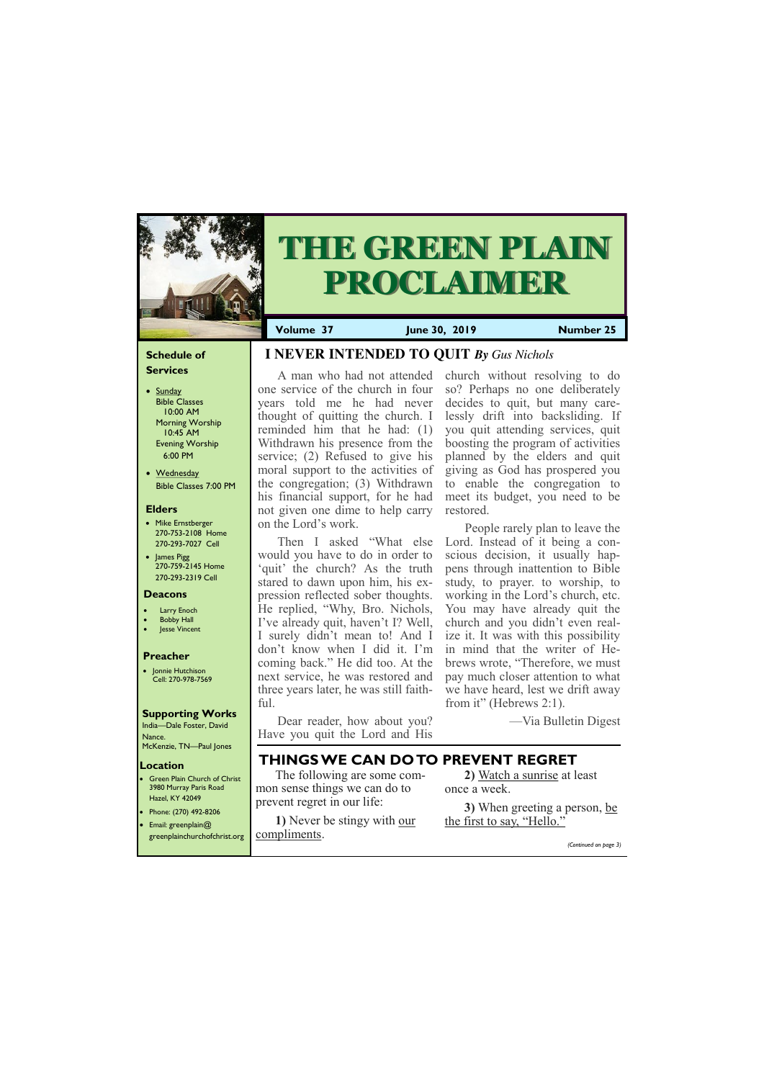## **Schedule of Services**

- Sunday Bible Classes 10:00 AM Morning Worship 10:45 AM Evening Worship 6:00 PM
- Wednesday Bible Classes 7:00 PM

## **Elders**

**Green Plain Church of Christ** 3980 Murray Paris Road Hazel, KY 42049 • Phone: (270) 492-8206

- Mike Ernstberger 270-753-2108 Home 270-293-7027 Cell
- James Pigg 270-759-2145 Home 270-293-2319 Cell



# **THE GREEN PLAIN PROCLAIMER**

## **Location**

**Volume 37 June 30, 2019 Number 25**

#### **Deacons**

- **Larry Enoch**
- **Bobby Hall**
- **Jesse Vincent**

## **Preacher**

• Jonnie Hutchison Cell: 270-978-7569

## **Supporting Works**

India—Dale Foster, David Nance. McKenzie, TN—Paul Jones

# **I NEVER INTENDED TO QUIT** *By Gus Nichols*

A man who had not attended one service of the church in four years told me he had never thought of quitting the church. I reminded him that he had: (1) Withdrawn his presence from the service; (2) Refused to give his moral support to the activities of the congregation; (3) Withdrawn his financial support, for he had not given one dime to help carry on the Lord's work.

People rarely plan to leave the Lord. Instead of it being a conscious decision, it usually happens through inattention to Bible study, to prayer. to worship, to working in the Lord's church, etc. You may have already quit the church and you didn't even realize it. It was with this possibility in mind that the writer of Hebrews wrote, "Therefore, we must pay much closer attention to what we have heard, lest we drift away from it" (Hebrews 2:1).

Then I asked "What else would you have to do in order to 'quit' the church? As the truth stared to dawn upon him, his expression reflected sober thoughts. He replied, "Why, Bro. Nichols, I've already quit, haven't I? Well, I surely didn't mean to! And I don't know when I did it. I'm coming back." He did too. At the next service, he was restored and three years later, he was still faithful.

| Email: greenplain $@$                     | 1) Never be stingy with our | the first to say, "Hello." |
|-------------------------------------------|-----------------------------|----------------------------|
| greenplainchurchofchrist.org COMpliments. |                             | (Continued on page 3)      |

Dear reader, how about you? Have you quit the Lord and His church without resolving to do so? Perhaps no one deliberately decides to quit, but many carelessly drift into backsliding. If you quit attending services, quit boosting the program of activities planned by the elders and quit giving as God has prospered you to enable the congregation to meet its budget, you need to be restored.

—Via Bulletin Digest

# **THINGS WE CAN DO TO PREVENT REGRET**

The following are some common sense things we can do to prevent regret in our life:

**2)** [Watch a sunrise](http://www.youtube.com/watch?v=ZjZKOuqcc9s) at least once a week.

**3)** When greeting a person, [be](http://www.youtube.com/watch?v=6f_FtzgL9y4)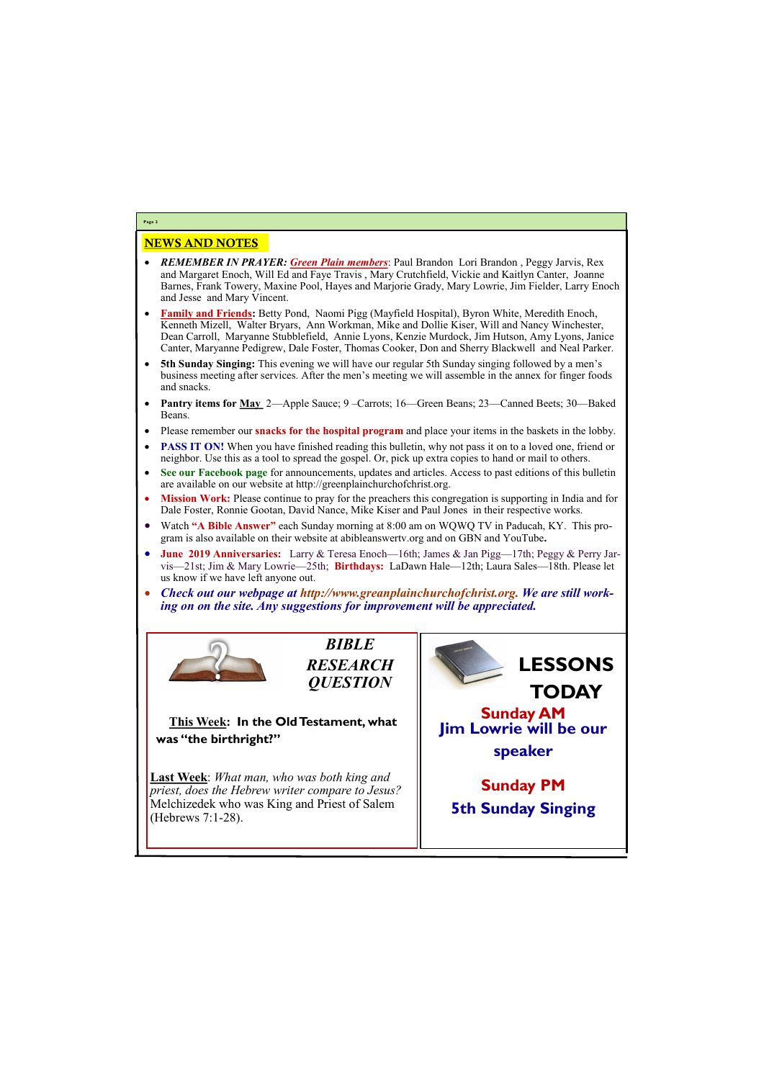## NEWS AND NOTES

- *REMEMBER IN PRAYER: Green Plain members*: Paul Brandon Lori Brandon , Peggy Jarvis, Rex and Margaret Enoch, Will Ed and Faye Travis , Mary Crutchfield, Vickie and Kaitlyn Canter, Joanne Barnes, Frank Towery, Maxine Pool, Hayes and Marjorie Grady, Mary Lowrie, Jim Fielder, Larry Enoch and Jesse and Mary Vincent.
- **Family and Friends:** Betty Pond, Naomi Pigg (Mayfield Hospital), Byron White, Meredith Enoch, Kenneth Mizell, Walter Bryars, Ann Workman, Mike and Dollie Kiser, Will and Nancy Winchester, Dean Carroll, Maryanne Stubblefield, Annie Lyons, Kenzie Murdock, Jim Hutson, Amy Lyons, Janice Canter, Maryanne Pedigrew, Dale Foster, Thomas Cooker, Don and Sherry Blackwell and Neal Parker.
- **5th Sunday Singing:** This evening we will have our regular 5th Sunday singing followed by a men's business meeting after services. After the men's meeting we will assemble in the annex for finger foods and snacks.
- **Pantry items for May** 2—Apple Sauce; 9 –Carrots; 16—Green Beans; 23—Canned Beets; 30—Baked Beans.
- Please remember our **snacks for the hospital program** and place your items in the baskets in the lobby.
- **PASS IT ON!** When you have finished reading this bulletin, why not pass it on to a loved one, friend or neighbor. Use this as a tool to spread the gospel. Or, pick up extra copies to hand or mail to others.
- **See our Facebook page** for announcements, updates and articles. Access to past editions of this bulletin are available on our website at http://greenplainchurchofchrist.org.
- **Mission Work:** Please continue to pray for the preachers this congregation is supporting in India and for Dale Foster, Ronnie Gootan, David Nance, Mike Kiser and Paul Jones in their respective works.
- Watch **"A Bible Answer"** each Sunday morning at 8:00 am on WQWQ TV in Paducah, KY. This program is also available on their website at abibleanswertv.org and on GBN and YouTube**.**
- **June 2019 Anniversaries:** Larry & Teresa Enoch—16th; James & Jan Pigg—17th; Peggy & Perry Jarvis—21st; Jim & Mary Lowrie—25th; **Birthdays:** LaDawn Hale—12th; Laura Sales—18th. Please let us know if we have left anyone out.
- *Check out our webpage at http://www.greanplainchurchofchrist.org. We are still working on on the site. Any suggestions for improvement will be appreciated.*



**Page 2**

*BIBLE RESEARCH QUESTION*

**This Week: In the Old Testament, what was "the birthright?"**

**Last Week**: *What man, who was both king and priest, does the Hebrew writer compare to Jesus?*  Melchizedek who was King and Priest of Salem

| (Hebrews $7:1-28$ ). | $\sim$ |
|----------------------|--------|
|                      |        |

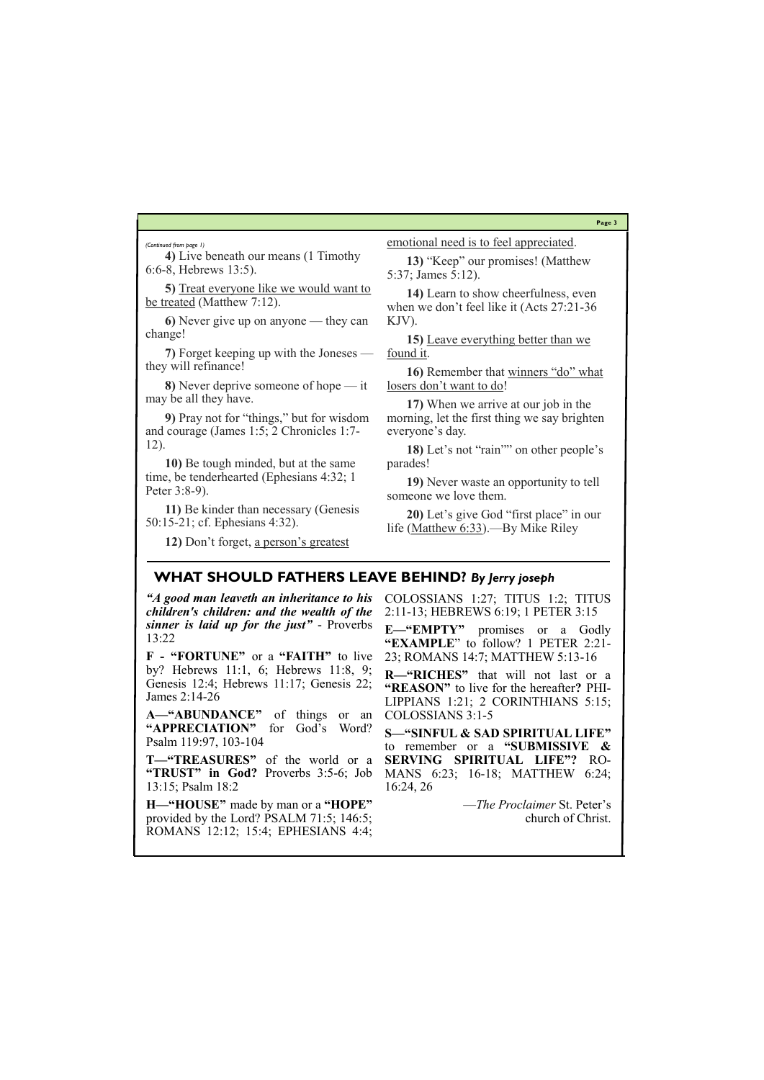## **Page 3**

**5)** [Treat everyone like we would want to](http://www.lgchurchofchrist.com/THE%20GOLDEN%20RULE.htm)  [be treated](http://www.lgchurchofchrist.com/THE%20GOLDEN%20RULE.htm) (Matthew 7:12).

**4)** Live beneath our means (1 Timothy 6:6-8, Hebrews 13:5).

**6)** Never give up on anyone — they can change!

**7)** Forget keeping up with the Joneses they will refinance!

**8)** Never deprive someone of hope — it may be all they have.

**9)** Pray not for "things," but for wisdom and courage (James 1:5; 2 Chronicles 1:7- 12).

**10)** Be tough minded, but at the same time, be tenderhearted (Ephesians 4:32; 1 Peter 3:8-9).

**11)** Be kinder than necessary (Genesis 50:15-21; cf. Ephesians 4:32).

**12)** Don't forget, a person'[s greatest](http://www.youtube.com/watch?v=NUfTAxigcs8) 

[emotional need is to feel appreciated.](http://www.youtube.com/watch?v=NUfTAxigcs8)

**13)** "Keep" our promises! (Matthew 5:37; James 5:12).

**14)** Learn to show cheerfulness, even when we don't feel like it (Acts 27:21-36 KJV).

**15)** [Leave everything better than we](http://pilarstella.blogspot.com/2011/06/leave-everything-better-than-when-you.html)  [found it.](http://pilarstella.blogspot.com/2011/06/leave-everything-better-than-when-you.html)

**16)** Remember that [winners](http://goarticles.com/article/3-Things-winners-do-which-losers-don-t/2900212/) "do" what losers don'[t want to do!](http://goarticles.com/article/3-Things-winners-do-which-losers-don-t/2900212/)

**17)** When we arrive at our job in the morning, let the first thing we say brighten everyone's day.

**18)** Let's not "rain"" on other people's parades!

**19)** Never waste an opportunity to tell someone we love them.

**20)** Let's give God "first place" in our life [\(Matthew 6:33](http://www.gnpcb.org/esv/search/?go=Go&q=Matthew+6%3A33)).—By Mike Riley

*(Continued from page 1)*

## **WHAT SHOULD FATHERS LEAVE BEHIND?** *By Jerry joseph*

*"A good man leaveth an inheritance to his children's children: and the wealth of the sinner is laid up for the just"* - Proverbs 13:22

**F - "FORTUNE"** or a **"FAITH"** to live by? Hebrews 11:1, 6; Hebrews 11:8, 9; Genesis 12:4; Hebrews 11:17; Genesis 22; James 2:14-26

**A—"ABUNDANCE"** of things or an **"APPRECIATION"** for God's Word? Psalm 119:97, 103-104

**T—"TREASURES"** of the world or a **"TRUST" in God?** Proverbs 3:5-6; Job 13:15; Psalm 18:2

**H—"HOUSE"** made by man or a **"HOPE"**  provided by the Lord? PSALM 71:5; 146:5; ROMANS 12:12; 15:4; EPHESIANS 4:4; COLOSSIANS 1:27; TITUS 1:2; TITUS 2:11-13; HEBREWS 6:19; 1 PETER 3:15

**E—"EMPTY"** promises or a Godly **"EXAMPLE**" to follow? 1 PETER 2:21- 23; ROMANS 14:7; MATTHEW 5:13-16

**R—"RICHES"** that will not last or a **"REASON"** to live for the hereafter**?** PHI-LIPPIANS 1:21; 2 CORINTHIANS 5:15; COLOSSIANS 3:1-5

**S—"SINFUL & SAD SPIRITUAL LIFE"**  to remember or a **"SUBMISSIVE & SERVING SPIRITUAL LIFE"?** RO-MANS 6:23; 16-18; MATTHEW 6:24; 16:24, 26

—*The Proclaimer* St. Peter's

church of Christ.